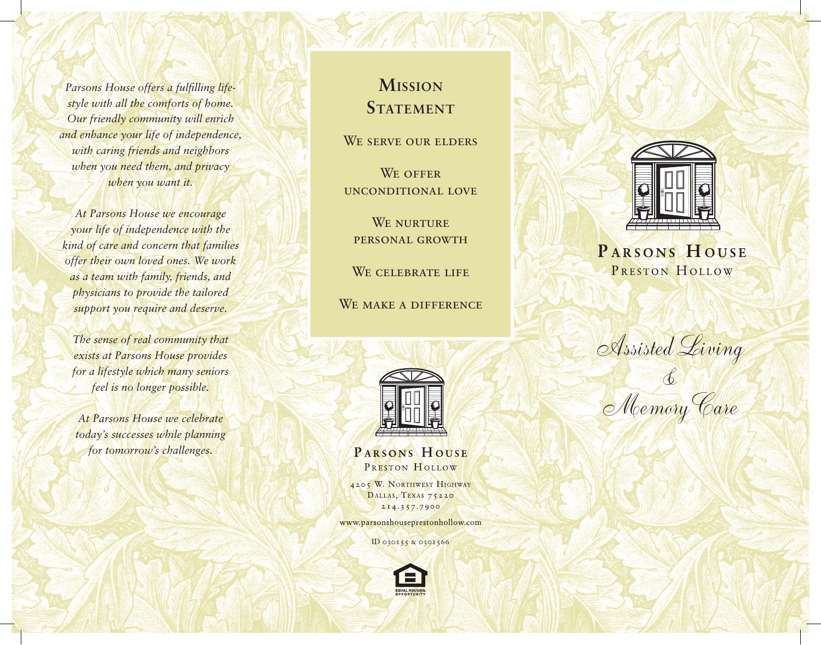*Parsons House offers a fulfilling lifestyle with all the comforts of home. Our friendly community will enrich and enhance your life of independence, with caring friends and neighbors when you need them, and privacy when you want it.*

*At Parsons House we encourage your life of independence with the kind of care and concern that families offer their own loved ones. We work as a team with family, friends, and physicians to provide the tailored support you require and deserve.*

*The sense of real community that exists at Parsons House provides for a lifestyle which many seniors feel is no longer possible.*

*At Parsons House we celebrate today's successes while planning for tomorrow's challenges.*

# **Mission STATEMENT**

WE SERVE OUR ELDERS

WE OFFER unconditional love

WE NURTURE personal growth

WE CELEBRATE LIFE

WE MAKE A DIFFERENCE



PARSONS HOUSE PRESTON HOLLOW

4205 W. NORTHWEST HIGHWAY DALLAS, TEXAS 75220 214.357.7900

www.parsonshouseprestonhollow.com

ID 030155 & 0301566





# PARSONS HOUSE PRESTON HOLLOW

Assisted Living

& Memory Care